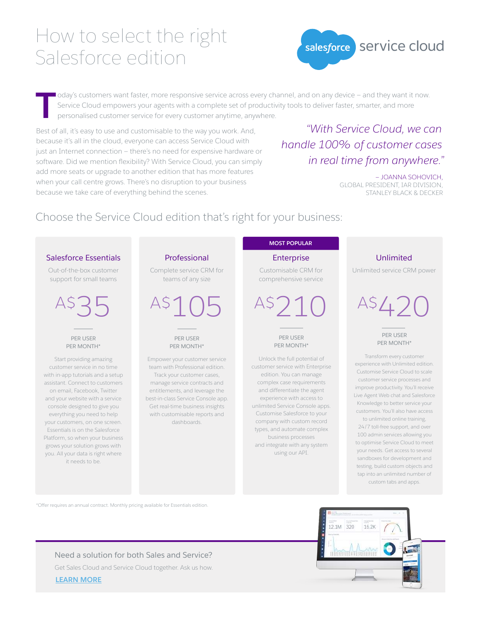## How to select the right Salesforce edition



**T** oday's customers want faster, more responsive service across every channel, and on any device — and they want it now. Service Cloud empowers your agents with a complete set of productivity tools to deliver faster, smarter, and more personalised customer service for every customer anytime, anywhere.

Best of all, it's easy to use and customisable to the way you work. And, because it's all in the cloud, everyone can access Service Cloud with just an Internet connection — there's no need for expensive hardware or software. Did we mention flexibility? With Service Cloud, you can simply add more seats or upgrade to another edition that has more features when your call centre grows. There's no disruption to your business because we take care of everything behind the scenes.

## *"With Service Cloud, we can handle 100% of customer cases in real time from anywhere."*

— JOANNA SOHOVICH, GLOBAL PRESIDENT, IAR DIVISION, STANLEY BLACK & DECKER

## Choose the Service Cloud edition that's right for your business:

#### Salesforce Essentials

Out-of-the-box customer support for small teams

 $AS<sup>3</sup>$ 

PER USER PER MONTH\*

Start providing amazing customer service in no time with in-app tutorials and a setup assistant. Connect to customers on email, Facebook, Twitter and your website with a service console designed to give you everything you need to help your customers, on one screen. Essentials is on the Salesforce Platform, so when your business grows your solution grows with you. All your data is right where it needs to be.

### Professional

Complete service CRM for teams of any size

A\$105

#### PER USER PER MONTH\*

Empower your customer service team with Professional edition. Track your customer cases, manage service contracts and entitlements, and leverage the best-in-class Service Console app. Get real-time business insights with customisable reports and dashboards.

#### **MOST POPULAR**

Enterprise

Customisable CRM for comprehensive service

 $AS$ ) $1$ 

PER USER PER MONTH\*

Unlock the full potential of customer service with Enterprise edition. You can manage complex case requirements and differentiate the agent experience with access to unlimited Service Console apps. Customise Salesforce to your company with custom record types, and automate complex business processes and integrate with any system using our API.

#### Unlimited

Unlimited service CRM power

# $AS(1)$

PER USER PER MONTH\*

Transform every customer experience with Unlimited edition. Customise Service Cloud to scale customer service processes and improve productivity. You'll receive Live Agent Web chat and Salesforce Knowledge to better service your customers. You'll also have access to unlimited online training,

24/7 toll-free support, and over 100 admin services allowing you to optimise Service Cloud to meet your needs. Get access to several sandboxes for development and testing, build custom objects and tap into an unlimited number of custom tabs and apps.

\*Offer requires an annual contract. Monthly pricing available for Essentials edition.



**[LEARN MORE](http://www.salesforce.com/form/service-cloud/contact-me.jsp?d=70130000lxETAAY)** Need a solution for both Sales and Service? Get Sales Cloud and Service Cloud together. Ask us how.